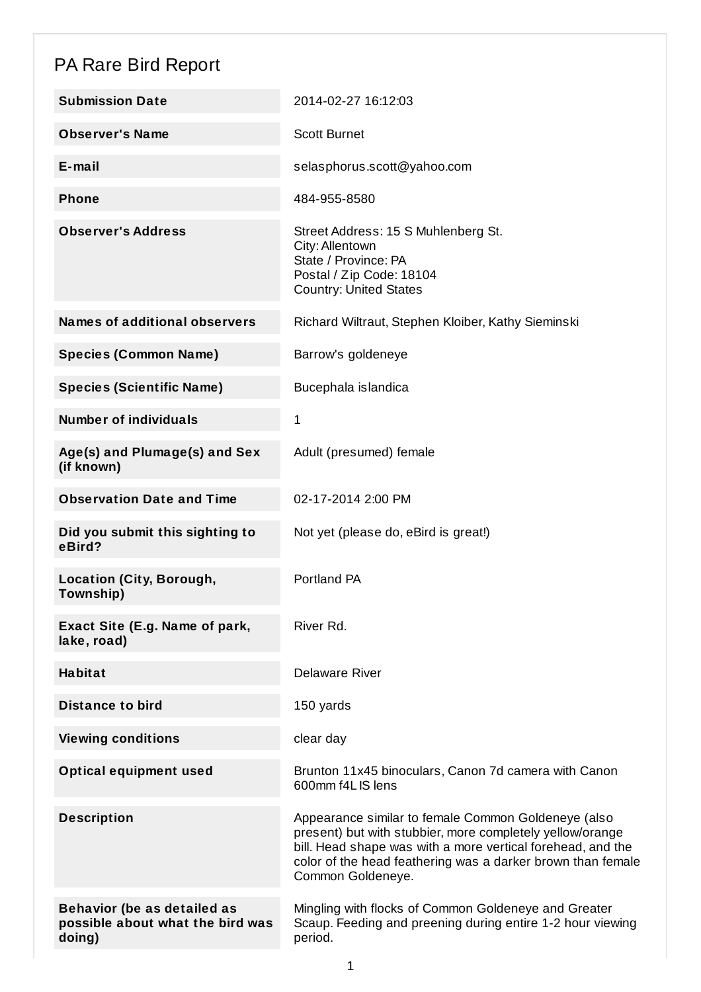## PA Rare Bird Report

| <b>Submission Date</b>                                                           | 2014-02-27 16:12:03                                                                                                                                                                                                                                                 |
|----------------------------------------------------------------------------------|---------------------------------------------------------------------------------------------------------------------------------------------------------------------------------------------------------------------------------------------------------------------|
| <b>Observer's Name</b>                                                           | <b>Scott Burnet</b>                                                                                                                                                                                                                                                 |
| $E$ -mail                                                                        | selasphorus.scott@yahoo.com                                                                                                                                                                                                                                         |
| <b>Phone</b>                                                                     | 484-955-8580                                                                                                                                                                                                                                                        |
| <b>Observer's Address</b>                                                        | Street Address: 15 S Muhlenberg St.<br>City: Allentown<br>State / Province: PA<br>Postal / Zip Code: 18104<br><b>Country: United States</b>                                                                                                                         |
| <b>Names of additional observers</b>                                             | Richard Wiltraut, Stephen Kloiber, Kathy Sieminski                                                                                                                                                                                                                  |
| <b>Species (Common Name)</b>                                                     | Barrow's goldeneye                                                                                                                                                                                                                                                  |
| <b>Species (Scientific Name)</b>                                                 | Bucephala islandica                                                                                                                                                                                                                                                 |
| <b>Number of individuals</b>                                                     | 1                                                                                                                                                                                                                                                                   |
| Age(s) and Plumage(s) and Sex<br>(if known)                                      | Adult (presumed) female                                                                                                                                                                                                                                             |
| <b>Observation Date and Time</b>                                                 | 02-17-2014 2:00 PM                                                                                                                                                                                                                                                  |
| Did you submit this sighting to<br>eBird?                                        | Not yet (please do, eBird is great!)                                                                                                                                                                                                                                |
| <b>Location (City, Borough,</b><br>Township)                                     | Portland PA                                                                                                                                                                                                                                                         |
| Exact Site (E.g. Name of park,<br>lake, road)                                    | River Rd.                                                                                                                                                                                                                                                           |
| <b>Habitat</b>                                                                   | <b>Delaware River</b>                                                                                                                                                                                                                                               |
| <b>Distance to bird</b>                                                          | 150 yards                                                                                                                                                                                                                                                           |
| <b>Viewing conditions</b>                                                        | clear day                                                                                                                                                                                                                                                           |
| <b>Optical equipment used</b>                                                    | Brunton 11x45 binoculars, Canon 7d camera with Canon<br>600mm f4L IS lens                                                                                                                                                                                           |
| <b>Description</b>                                                               | Appearance similar to female Common Goldeneye (also<br>present) but with stubbier, more completely yellow/orange<br>bill. Head shape was with a more vertical forehead, and the<br>color of the head feathering was a darker brown than female<br>Common Goldeneye. |
| <b>Behavior (be as detailed as</b><br>possible about what the bird was<br>doing) | Mingling with flocks of Common Goldeneye and Greater<br>Scaup. Feeding and preening during entire 1-2 hour viewing<br>period.                                                                                                                                       |